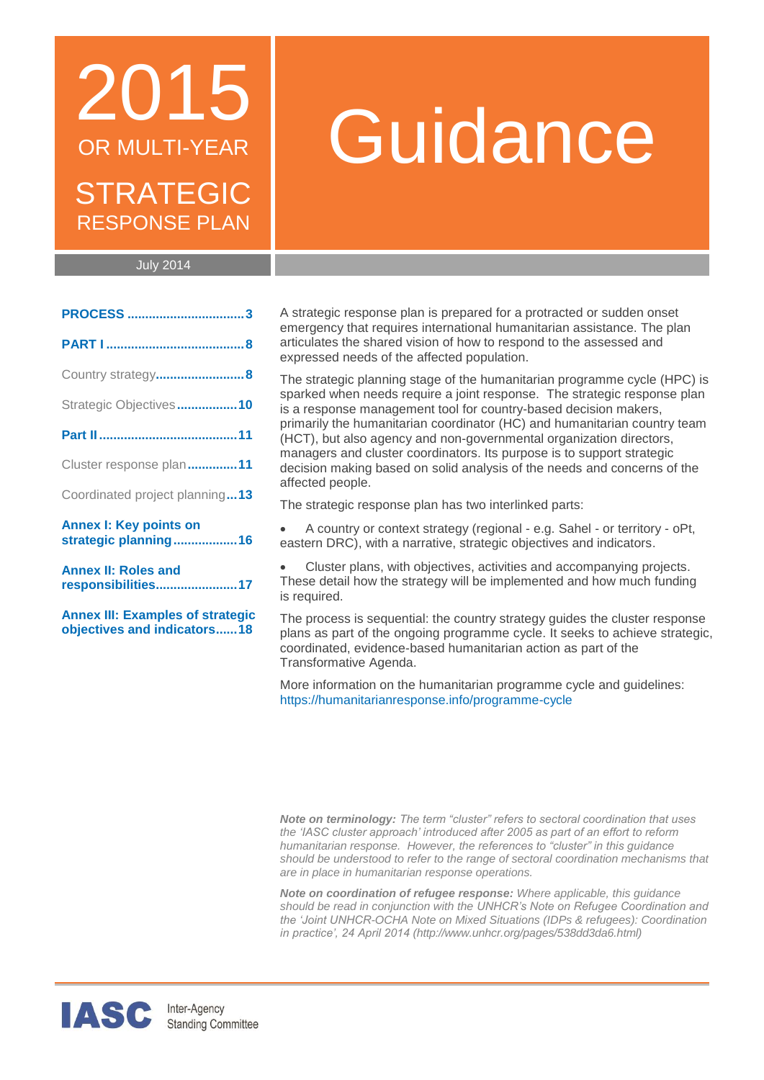## 2015 OR MULTI-YEAR STRATEGIC RESPONSE PLAN

# Guidance

July 2014

| Country strategy8                                     |  |
|-------------------------------------------------------|--|
| Strategic Objectives10                                |  |
|                                                       |  |
| Cluster response plan11                               |  |
| Coordinated project planning13                        |  |
| <b>Annex I: Key points on</b><br>strategic planning16 |  |
| <b>Annex II: Roles and</b><br>responsibilities17      |  |

**[Annex III: Examples of strategic](#page-17-0)  [objectives and indicators......18](#page-17-0)**

A strategic response plan is prepared for a protracted or sudden onset emergency that requires international humanitarian assistance. The plan articulates the shared vision of how to respond to the assessed and expressed needs of the affected population.

The strategic planning stage of the humanitarian programme cycle (HPC) is sparked when needs require a joint response. The strategic response plan is a response management tool for country-based decision makers, primarily the humanitarian coordinator (HC) and humanitarian country team (HCT), but also agency and non-governmental organization directors, managers and cluster coordinators. Its purpose is to support strategic decision making based on solid analysis of the needs and concerns of the affected people.

The strategic response plan has two interlinked parts:

 A country or context strategy (regional - e.g. Sahel - or territory - oPt, eastern DRC), with a narrative, strategic objectives and indicators.

 Cluster plans, with objectives, activities and accompanying projects. These detail how the strategy will be implemented and how much funding is required.

The process is sequential: the country strategy guides the cluster response plans as part of the ongoing programme cycle. It seeks to achieve strategic, coordinated, evidence-based humanitarian action as part of the Transformative Agenda.

More information on the humanitarian programme cycle and guidelines: <https://humanitarianresponse.info/programme-cycle>

*Note on terminology: The term "cluster" refers to sectoral coordination that uses the 'IASC cluster approach' introduced after 2005 as part of an effort to reform humanitarian response. However, the references to "cluster" in this guidance should be understood to refer to the range of sectoral coordination mechanisms that are in place in humanitarian response operations.*

*Note on coordination of refugee response: Where applicable, this guidance should be read in conjunction with the UNHCR's Note on Refugee Coordination and the 'Joint UNHCR-OCHA Note on Mixed Situations (IDPs & refugees): Coordination in practice', 24 April 2014 [\(http://www.unhcr.org/pages/538dd3da6.html\)](http://www.unhcr.org/pages/538dd3da6.html)*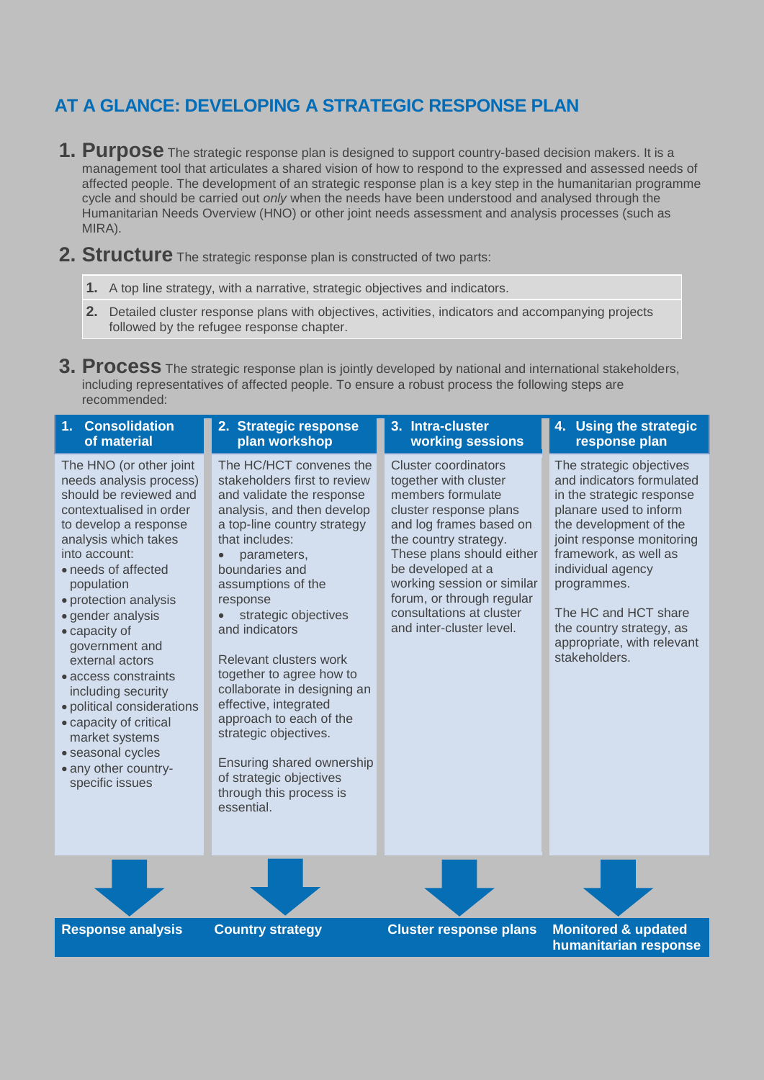### **AT A GLANCE: DEVELOPING A STRATEGIC RESPONSE PLAN**

- **1. Purpose** The strategic response plan is designed to support country-based decision makers. It is a management tool that articulates a shared vision of how to respond to the expressed and assessed needs of affected people. The development of an strategic response plan is a key step in the humanitarian programme cycle and should be carried out *only* when the needs have been understood and analysed through the Humanitarian Needs Overview (HNO) or other joint needs assessment and analysis processes (such as MIRA).
- **2. Structure** The strategic response plan is constructed of two parts:
	- **1.** A top line strategy, with a narrative, strategic objectives and indicators.
	- **2.** Detailed cluster response plans with objectives, activities, indicators and accompanying projects followed by the refugee response chapter.

**3. Process** The strategic response plan is jointly developed by national and international stakeholders, including representatives of affected people. To ensure a robust process the following steps are recommended:

| <b>Consolidation</b><br>1 <sub>1</sub><br>of material                                                                                                                                                                                                                                                                                                                                                                                                                                                      | 2. Strategic response<br>plan workshop                                                                                                                                                                                                                                                                                                                                                                                                                                                                                                              | 3. Intra-cluster<br>working sessions                                                                                                                                                                                                                                                                                         | 4. Using the strategic<br>response plan                                                                                                                                                                                                                                                                                             |
|------------------------------------------------------------------------------------------------------------------------------------------------------------------------------------------------------------------------------------------------------------------------------------------------------------------------------------------------------------------------------------------------------------------------------------------------------------------------------------------------------------|-----------------------------------------------------------------------------------------------------------------------------------------------------------------------------------------------------------------------------------------------------------------------------------------------------------------------------------------------------------------------------------------------------------------------------------------------------------------------------------------------------------------------------------------------------|------------------------------------------------------------------------------------------------------------------------------------------------------------------------------------------------------------------------------------------------------------------------------------------------------------------------------|-------------------------------------------------------------------------------------------------------------------------------------------------------------------------------------------------------------------------------------------------------------------------------------------------------------------------------------|
| The HNO (or other joint<br>needs analysis process)<br>should be reviewed and<br>contextualised in order<br>to develop a response<br>analysis which takes<br>into account:<br>• needs of affected<br>population<br>· protection analysis<br>• gender analysis<br>• capacity of<br>government and<br>external actors<br>• access constraints<br>including security<br>· political considerations<br>• capacity of critical<br>market systems<br>· seasonal cycles<br>• any other country-<br>specific issues | The HC/HCT convenes the<br>stakeholders first to review<br>and validate the response<br>analysis, and then develop<br>a top-line country strategy<br>that includes:<br>parameters,<br>boundaries and<br>assumptions of the<br>response<br>strategic objectives<br>and indicators<br>Relevant clusters work<br>together to agree how to<br>collaborate in designing an<br>effective, integrated<br>approach to each of the<br>strategic objectives.<br>Ensuring shared ownership<br>of strategic objectives<br>through this process is<br>essential. | <b>Cluster coordinators</b><br>together with cluster<br>members formulate<br>cluster response plans<br>and log frames based on<br>the country strategy.<br>These plans should either<br>be developed at a<br>working session or similar<br>forum, or through regular<br>consultations at cluster<br>and inter-cluster level. | The strategic objectives<br>and indicators formulated<br>in the strategic response<br>planare used to inform<br>the development of the<br>joint response monitoring<br>framework, as well as<br>individual agency<br>programmes.<br>The HC and HCT share<br>the country strategy, as<br>appropriate, with relevant<br>stakeholders. |
|                                                                                                                                                                                                                                                                                                                                                                                                                                                                                                            |                                                                                                                                                                                                                                                                                                                                                                                                                                                                                                                                                     |                                                                                                                                                                                                                                                                                                                              |                                                                                                                                                                                                                                                                                                                                     |
| <b>Response analysis</b>                                                                                                                                                                                                                                                                                                                                                                                                                                                                                   | <b>Country strategy</b>                                                                                                                                                                                                                                                                                                                                                                                                                                                                                                                             | <b>Cluster response plans</b>                                                                                                                                                                                                                                                                                                | <b>Monitored &amp; updated</b><br>humanitarian response                                                                                                                                                                                                                                                                             |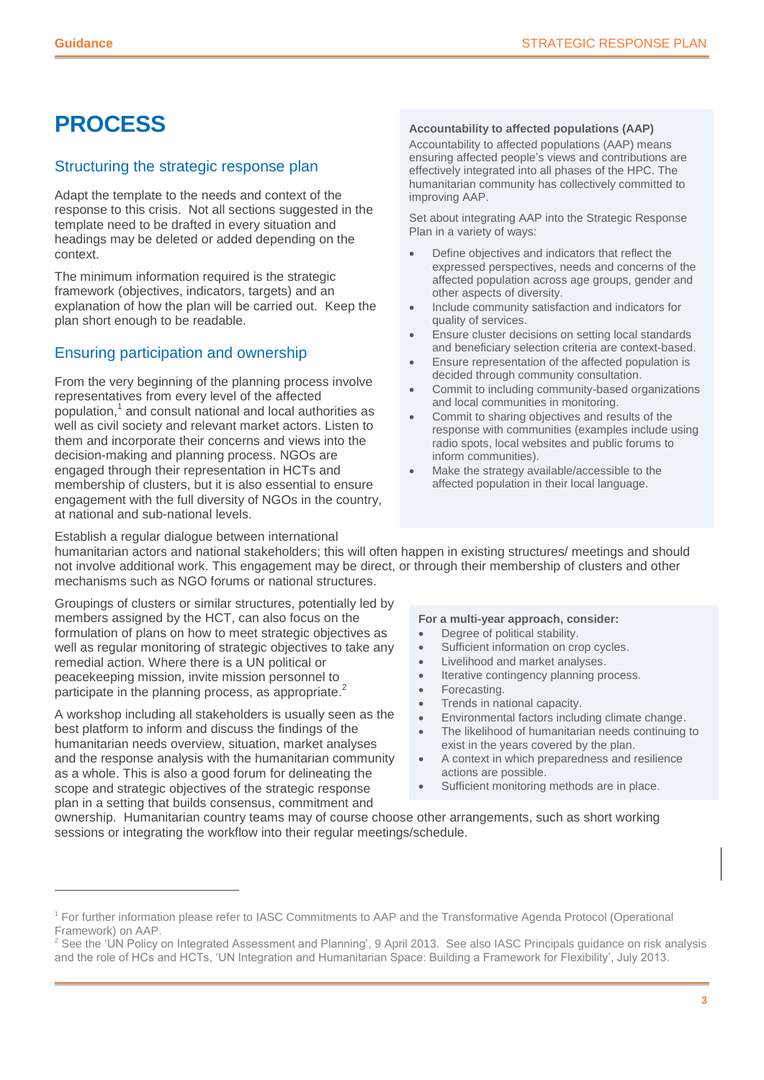### <span id="page-2-0"></span>**PROCESS**

#### Structuring the strategic response plan

Adapt the template to the needs and context of the response to this crisis. Not all sections suggested in the template need to be drafted in every situation and headings may be deleted or added depending on the context.

The minimum information required is the strategic framework (objectives, indicators, targets) and an explanation of how the plan will be carried out. Keep the plan short enough to be readable.

### Ensuring participation and ownership

From the very beginning of the planning process involve representatives from every level of the affected population, 1 and consult national and local authorities as well as civil society and relevant market actors. Listen to them and incorporate their concerns and views into the decision-making and planning process. NGOs are engaged through their representation in HCTs and membership of clusters, but it is also essential to ensure engagement with the full diversity of NGOs in the country, at national and sub-national levels.

#### **Accountability to affected populations (AAP)**

Accountability to affected populations (AAP) means ensuring affected people's views and contributions are effectively integrated into all phases of the HPC. The humanitarian community has collectively committed to improving AAP.

Set about integrating AAP into the Strategic Response Plan in a variety of ways:

- Define objectives and indicators that reflect the expressed perspectives, needs and concerns of the affected population across age groups, gender and other aspects of diversity.
- Include community satisfaction and indicators for quality of services.
- Ensure cluster decisions on setting local standards and beneficiary selection criteria are context-based.
- Ensure representation of the affected population is decided through community consultation.
- Commit to including community-based organizations and local communities in monitoring.
- Commit to sharing objectives and results of the response with communities (examples include using radio spots, local websites and public forums to inform communities).
- Make the strategy available/accessible to the affected population in their local language.

Establish a regular dialogue between international humanitarian actors and national stakeholders; this will often happen in existing structures/ meetings and should not involve additional work. This engagement may be direct, or through their membership of clusters and other mechanisms such as NGO forums or national structures.

Groupings of clusters or similar structures, potentially led by members assigned by the HCT, can also focus on the formulation of plans on how to meet strategic objectives as well as regular monitoring of strategic objectives to take any remedial action. Where there is a UN political or peacekeeping mission, invite mission personnel to participate in the planning process, as appropriate.<sup>2</sup>

A workshop including all stakeholders is usually seen as the best platform to inform and discuss the findings of the humanitarian needs overview, situation, market analyses and the response analysis with the humanitarian community as a whole. This is also a good forum for delineating the scope and strategic objectives of the strategic response plan in a setting that builds consensus, commitment and

 $\overline{a}$ 

#### **For a multi-year approach, consider:**

- Degree of political stability.
- Sufficient information on crop cycles.
- Livelihood and market analyses.
- Iterative contingency planning process.
- Forecasting.
- Trends in national capacity.
- Environmental factors including climate change.
- The likelihood of humanitarian needs continuing to exist in the years covered by the plan.
- A context in which preparedness and resilience actions are possible.
- Sufficient monitoring methods are in place.

ownership. Humanitarian country teams may of course choose other arrangements, such as short working sessions or integrating the workflow into their regular meetings/schedule.

<sup>1</sup> For further information please refer to IASC Commitments to AAP and the Transformative Agenda Protocol (Operational Framework) on AAP.

<sup>&</sup>lt;sup>2</sup> See the 'UN Policy on Integrated Assessment and Planning', 9 April 2013. See also IASC Principals guidance on risk analysis and the role of HCs and HCTs, 'UN Integration and Humanitarian Space: Building a Framework for Flexibility', July 2013.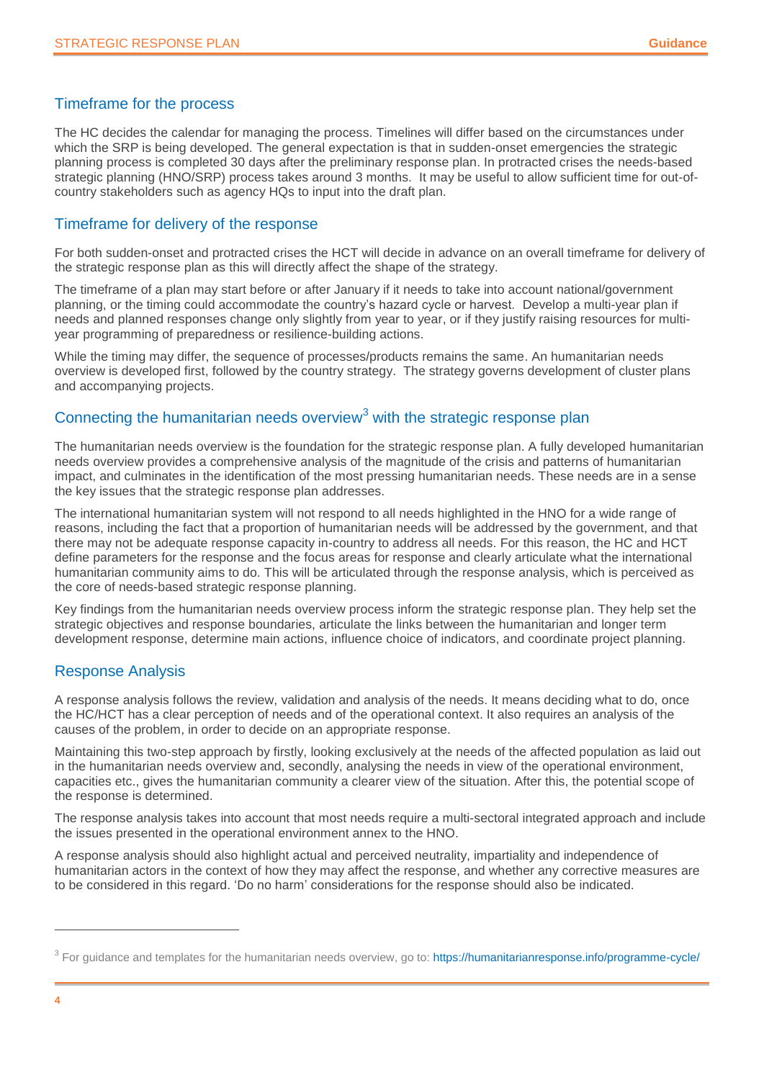### Timeframe for the process

The HC decides the calendar for managing the process. Timelines will differ based on the circumstances under which the SRP is being developed. The general expectation is that in sudden-onset emergencies the strategic planning process is completed 30 days after the preliminary response plan. In protracted crises the needs-based strategic planning (HNO/SRP) process takes around 3 months. It may be useful to allow sufficient time for out-ofcountry stakeholders such as agency HQs to input into the draft plan.

### Timeframe for delivery of the response

For both sudden-onset and protracted crises the HCT will decide in advance on an overall timeframe for delivery of the strategic response plan as this will directly affect the shape of the strategy.

The timeframe of a plan may start before or after January if it needs to take into account national/government planning, or the timing could accommodate the country's hazard cycle or harvest. Develop a multi-year plan if needs and planned responses change only slightly from year to year, or if they justify raising resources for multiyear programming of preparedness or resilience-building actions.

While the timing may differ, the sequence of processes/products remains the same. An humanitarian needs overview is developed first, followed by the country strategy. The strategy governs development of cluster plans and accompanying projects.

### Connecting the humanitarian needs overview<sup>3</sup> with the strategic response plan

The humanitarian needs overview is the foundation for the strategic response plan. A fully developed humanitarian needs overview provides a comprehensive analysis of the magnitude of the crisis and patterns of humanitarian impact, and culminates in the identification of the most pressing humanitarian needs. These needs are in a sense the key issues that the strategic response plan addresses.

The international humanitarian system will not respond to all needs highlighted in the HNO for a wide range of reasons, including the fact that a proportion of humanitarian needs will be addressed by the government, and that there may not be adequate response capacity in-country to address all needs. For this reason, the HC and HCT define parameters for the response and the focus areas for response and clearly articulate what the international humanitarian community aims to do. This will be articulated through the response analysis, which is perceived as the core of needs-based strategic response planning.

Key findings from the humanitarian needs overview process inform the strategic response plan. They help set the strategic objectives and response boundaries, articulate the links between the humanitarian and longer term development response, determine main actions, influence choice of indicators, and coordinate project planning.

### Response Analysis

A response analysis follows the review, validation and analysis of the needs. It means deciding what to do, once the HC/HCT has a clear perception of needs and of the operational context. It also requires an analysis of the causes of the problem, in order to decide on an appropriate response.

Maintaining this two-step approach by firstly, looking exclusively at the needs of the affected population as laid out in the humanitarian needs overview and, secondly, analysing the needs in view of the operational environment, capacities etc., gives the humanitarian community a clearer view of the situation. After this, the potential scope of the response is determined.

The response analysis takes into account that most needs require a multi-sectoral integrated approach and include the issues presented in the operational environment annex to the HNO.

A response analysis should also highlight actual and perceived neutrality, impartiality and independence of humanitarian actors in the context of how they may affect the response, and whether any corrective measures are to be considered in this regard. 'Do no harm' considerations for the response should also be indicated.

<sup>&</sup>lt;sup>3</sup> For guidance and templates for the humanitarian needs overview, go to: https://humanitarianresponse.info/programme-cycle/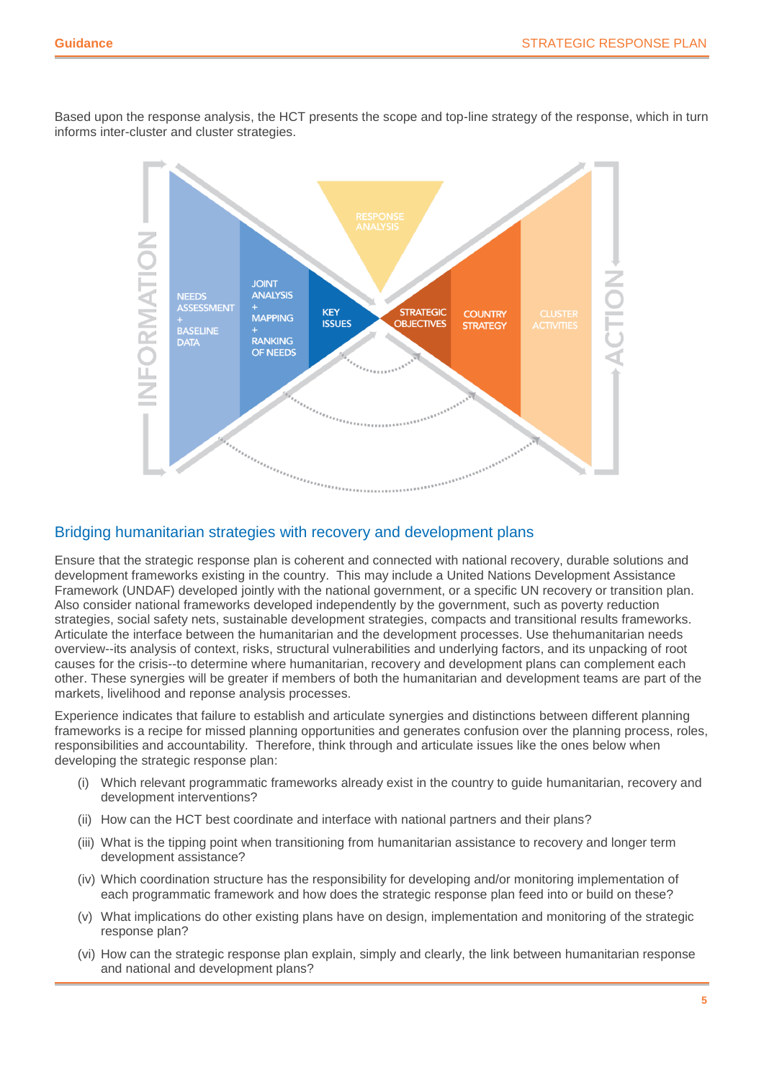Based upon the response analysis, the HCT presents the scope and top-line strategy of the response, which in turn informs inter-cluster and cluster strategies.



### Bridging humanitarian strategies with recovery and development plans

Ensure that the strategic response plan is coherent and connected with national recovery, durable solutions and development frameworks existing in the country. This may include a United Nations Development Assistance Framework (UNDAF) developed jointly with the national government, or a specific UN recovery or transition plan. Also consider national frameworks developed independently by the government, such as poverty reduction strategies, social safety nets, sustainable development strategies, compacts and transitional results frameworks. Articulate the interface between the humanitarian and the development processes. Use thehumanitarian needs overview--its analysis of context, risks, structural vulnerabilities and underlying factors, and its unpacking of root causes for the crisis--to determine where humanitarian, recovery and development plans can complement each other. These synergies will be greater if members of both the humanitarian and development teams are part of the markets, livelihood and reponse analysis processes.

Experience indicates that failure to establish and articulate synergies and distinctions between different planning frameworks is a recipe for missed planning opportunities and generates confusion over the planning process, roles, responsibilities and accountability. Therefore, think through and articulate issues like the ones below when developing the strategic response plan:

- (i) Which relevant programmatic frameworks already exist in the country to guide humanitarian, recovery and development interventions?
- (ii) How can the HCT best coordinate and interface with national partners and their plans?
- (iii) What is the tipping point when transitioning from humanitarian assistance to recovery and longer term development assistance?
- (iv) Which coordination structure has the responsibility for developing and/or monitoring implementation of each programmatic framework and how does the strategic response plan feed into or build on these?
- (v) What implications do other existing plans have on design, implementation and monitoring of the strategic response plan?
- (vi) How can the strategic response plan explain, simply and clearly, the link between humanitarian response and national and development plans?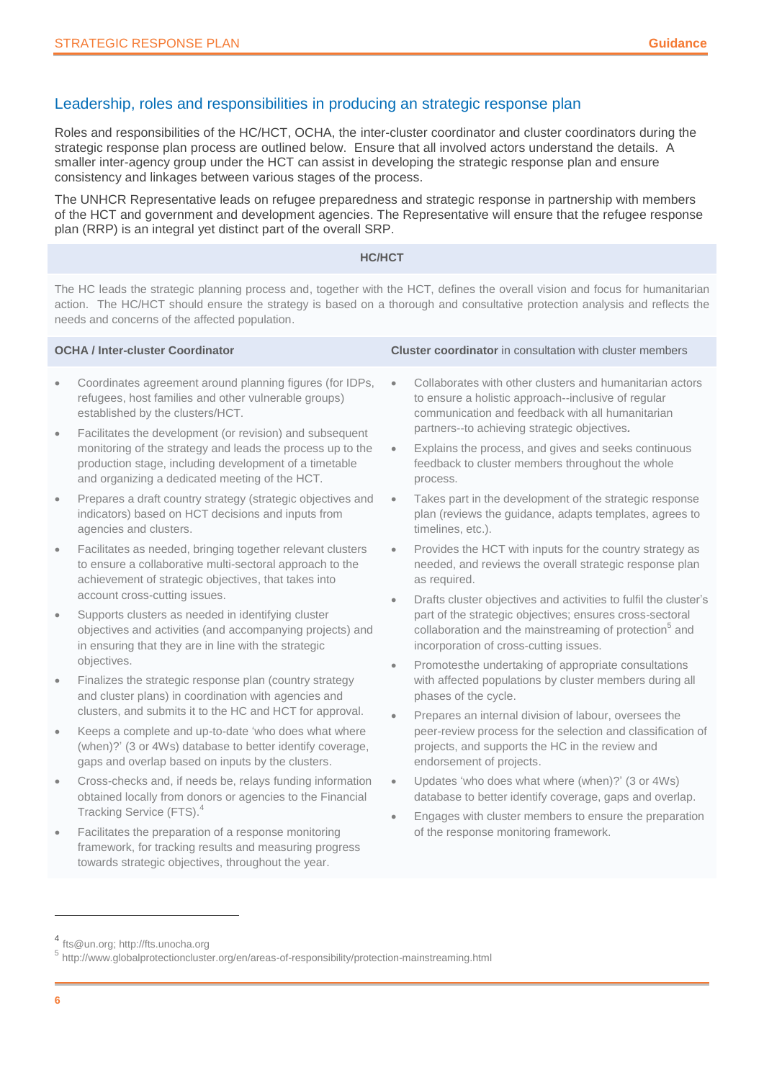### Leadership, roles and responsibilities in producing an strategic response plan

Roles and responsibilities of the HC/HCT, OCHA, the inter-cluster coordinator and cluster coordinators during the strategic response plan process are outlined below. Ensure that all involved actors understand the details. A smaller inter-agency group under the HCT can assist in developing the strategic response plan and ensure consistency and linkages between various stages of the process.

The UNHCR Representative leads on refugee preparedness and strategic response in partnership with members of the HCT and government and development agencies. The Representative will ensure that the refugee response plan (RRP) is an integral yet distinct part of the overall SRP.

#### **HC/HCT**

The HC leads the strategic planning process and, together with the HCT, defines the overall vision and focus for humanitarian action. The HC/HCT should ensure the strategy is based on a thorough and consultative protection analysis and reflects the needs and concerns of the affected population.

| <b>OCHA / Inter-cluster Coordinator</b> |                                                                                                                                                                                                                                    |                        | <b>Cluster coordinator</b> in consultation with cluster members                                                                                                                                                                              |
|-----------------------------------------|------------------------------------------------------------------------------------------------------------------------------------------------------------------------------------------------------------------------------------|------------------------|----------------------------------------------------------------------------------------------------------------------------------------------------------------------------------------------------------------------------------------------|
| $\bullet$                               | Coordinates agreement around planning figures (for IDPs,<br>refugees, host families and other vulnerable groups)<br>established by the clusters/HCT.                                                                               | $\bullet$              | Collaborates with other clusters and humanitarian actors<br>to ensure a holistic approach--inclusive of regular<br>communication and feedback with all humanitarian<br>partners--to achieving strategic objectives.                          |
| $\bullet$                               | Facilitates the development (or revision) and subsequent<br>monitoring of the strategy and leads the process up to the<br>production stage, including development of a timetable<br>and organizing a dedicated meeting of the HCT. | $\bullet$              | Explains the process, and gives and seeks continuous<br>feedback to cluster members throughout the whole<br>process.                                                                                                                         |
| $\bullet$                               | Prepares a draft country strategy (strategic objectives and<br>indicators) based on HCT decisions and inputs from<br>agencies and clusters.                                                                                        | $\bullet$              | Takes part in the development of the strategic response<br>plan (reviews the guidance, adapts templates, agrees to<br>timelines, etc.).                                                                                                      |
| $\bullet$                               | Facilitates as needed, bringing together relevant clusters<br>to ensure a collaborative multi-sectoral approach to the<br>achievement of strategic objectives, that takes into                                                     | $\bullet$              | Provides the HCT with inputs for the country strategy as<br>needed, and reviews the overall strategic response plan<br>as required.                                                                                                          |
| $\bullet$                               | account cross-cutting issues.<br>Supports clusters as needed in identifying cluster<br>objectives and activities (and accompanying projects) and<br>in ensuring that they are in line with the strategic                           |                        | Drafts cluster objectives and activities to fulfil the cluster's<br>part of the strategic objectives; ensures cross-sectoral<br>collaboration and the mainstreaming of protection <sup>5</sup> and<br>incorporation of cross-cutting issues. |
| $\bullet$                               | objectives.<br>Finalizes the strategic response plan (country strategy<br>and cluster plans) in coordination with agencies and<br>clusters, and submits it to the HC and HCT for approval.                                         |                        | Promotesthe undertaking of appropriate consultations<br>with affected populations by cluster members during all<br>phases of the cycle.                                                                                                      |
| $\bullet$                               | Keeps a complete and up-to-date 'who does what where<br>(when)?' (3 or 4Ws) database to better identify coverage,<br>gaps and overlap based on inputs by the clusters.                                                             |                        | Prepares an internal division of labour, oversees the<br>peer-review process for the selection and classification of<br>projects, and supports the HC in the review and<br>endorsement of projects.                                          |
| $\bullet$                               | Cross-checks and, if needs be, relays funding information<br>obtained locally from donors or agencies to the Financial<br>Tracking Service (FTS). <sup>4</sup>                                                                     | $\bullet$<br>$\bullet$ | Updates 'who does what where (when)?' (3 or 4Ws)<br>database to better identify coverage, gaps and overlap.<br>Engages with cluster members to ensure the preparation                                                                        |
| $\bullet$                               | Facilitates the preparation of a response monitoring<br>framework, for tracking results and measuring progress                                                                                                                     |                        | of the response monitoring framework.                                                                                                                                                                                                        |

4 [fts@un.org;](mailto:fts@un.org) http://fts.unocha.org

towards strategic objectives, throughout the year.

<sup>5</sup> http://www.globalprotectioncluster.org/en/areas-of-responsibility/protection-mainstreaming.html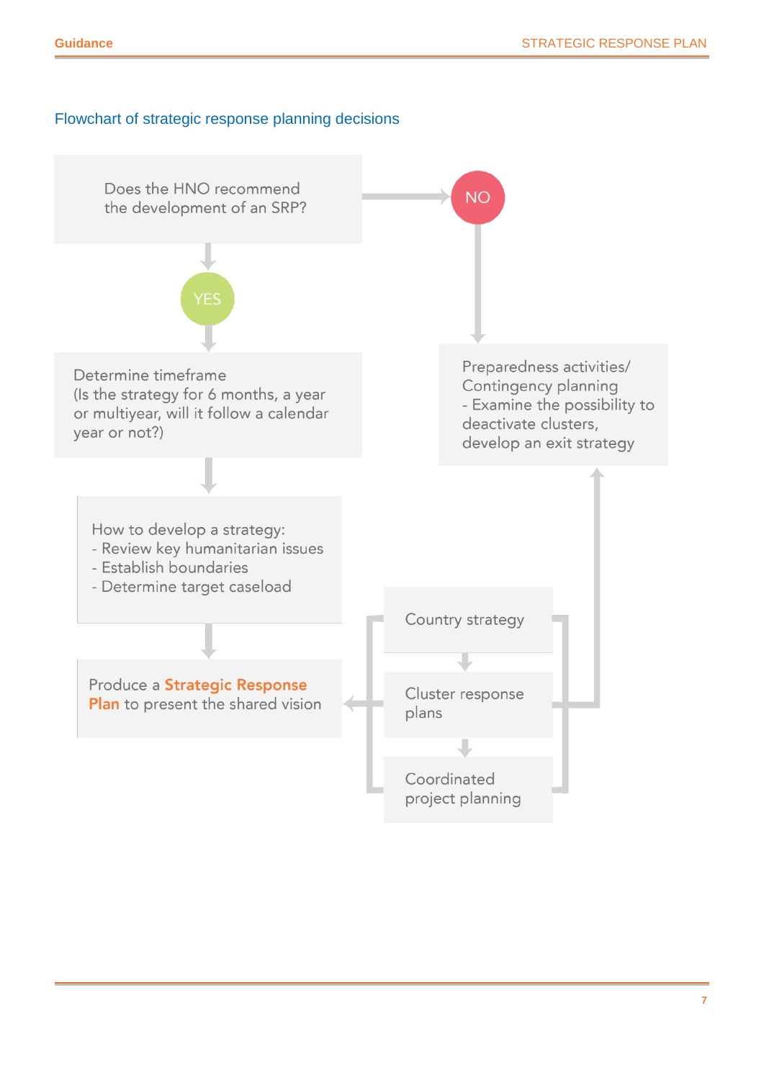### Flowchart of strategic response planning decisions

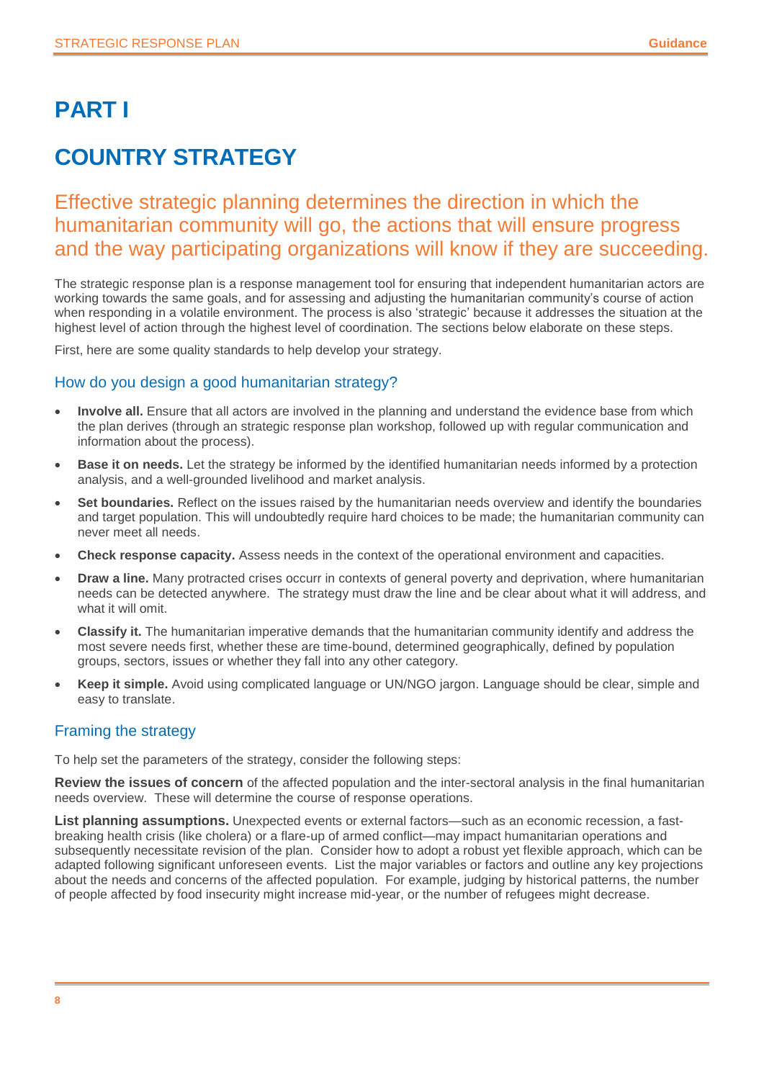### <span id="page-7-0"></span>**PART I**

### <span id="page-7-1"></span>**COUNTRY STRATEGY**

### Effective strategic planning determines the direction in which the humanitarian community will go, the actions that will ensure progress and the way participating organizations will know if they are succeeding.

The strategic response plan is a response management tool for ensuring that independent humanitarian actors are working towards the same goals, and for assessing and adjusting the humanitarian community's course of action when responding in a volatile environment. The process is also 'strategic' because it addresses the situation at the highest level of action through the highest level of coordination. The sections below elaborate on these steps.

First, here are some quality standards to help develop your strategy.

### How do you design a good humanitarian strategy?

- **Involve all.** Ensure that all actors are involved in the planning and understand the evidence base from which the plan derives (through an strategic response plan workshop, followed up with regular communication and information about the process).
- **Base it on needs.** Let the strategy be informed by the identified humanitarian needs informed by a protection analysis, and a well-grounded livelihood and market analysis.
- **Set boundaries.** Reflect on the issues raised by the humanitarian needs overview and identify the boundaries and target population. This will undoubtedly require hard choices to be made; the humanitarian community can never meet all needs.
- **Check response capacity.** Assess needs in the context of the operational environment and capacities.
- **Draw a line.** Many protracted crises occurr in contexts of general poverty and deprivation, where humanitarian needs can be detected anywhere. The strategy must draw the line and be clear about what it will address, and what it will omit.
- **Classify it.** The humanitarian imperative demands that the humanitarian community identify and address the most severe needs first, whether these are time-bound, determined geographically, defined by population groups, sectors, issues or whether they fall into any other category.
- **Keep it simple.** Avoid using complicated language or UN/NGO jargon. Language should be clear, simple and easy to translate.

### Framing the strategy

To help set the parameters of the strategy, consider the following steps:

**Review the issues of concern** of the affected population and the inter-sectoral analysis in the final humanitarian needs overview. These will determine the course of response operations.

**List planning assumptions.** Unexpected events or external factors—such as an economic recession, a fastbreaking health crisis (like cholera) or a flare-up of armed conflict—may impact humanitarian operations and subsequently necessitate revision of the plan. Consider how to adopt a robust yet flexible approach, which can be adapted following significant unforeseen events. List the major variables or factors and outline any key projections about the needs and concerns of the affected population. For example, judging by historical patterns, the number of people affected by food insecurity might increase mid-year, or the number of refugees might decrease.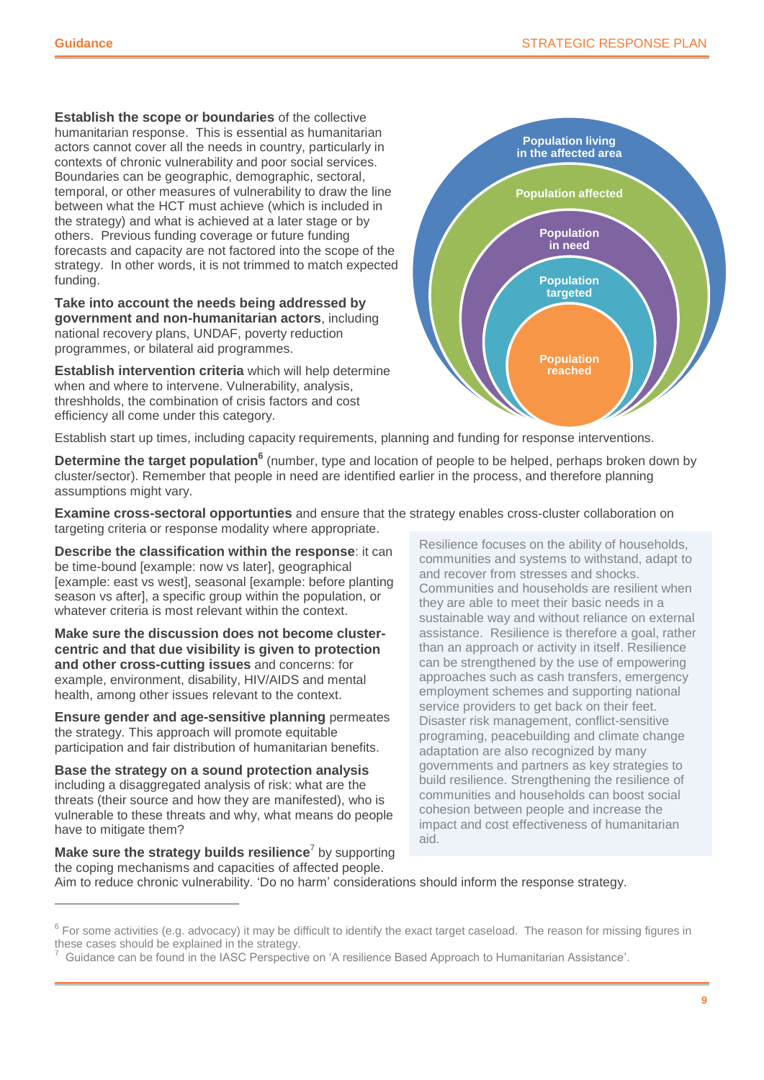**Establish the scope or boundaries** of the collective humanitarian response. This is essential as humanitarian actors cannot cover all the needs in country, particularly in contexts of chronic vulnerability and poor social services. Boundaries can be geographic, demographic, sectoral, temporal, or other measures of vulnerability to draw the line between what the HCT must achieve (which is included in the strategy) and what is achieved at a later stage or by others. Previous funding coverage or future funding forecasts and capacity are not factored into the scope of the strategy. In other words, it is not trimmed to match expected funding.

**Take into account the needs being addressed by government and non-humanitarian actors**, including national recovery plans, UNDAF, poverty reduction programmes, or bilateral aid programmes.

**Establish intervention criteria** which will help determine when and where to intervene. Vulnerability, analysis, threshholds, the combination of crisis factors and cost efficiency all come under this category.



Establish start up times, including capacity requirements, planning and funding for response interventions.

Determine the target population<sup>6</sup> (number, type and location of people to be helped, perhaps broken down by cluster/sector). Remember that people in need are identified earlier in the process, and therefore planning assumptions might vary.

**Examine cross-sectoral opportunties** and ensure that the strategy enables cross-cluster collaboration on targeting criteria or response modality where appropriate.

**Describe the classification within the response**: it can be time-bound [example: now vs later], geographical [example: east vs west], seasonal [example: before planting season vs after], a specific group within the population, or whatever criteria is most relevant within the context.

**Make sure the discussion does not become clustercentric and that due visibility is given to protection and other cross-cutting issues** and concerns: for example, environment, disability, HIV/AIDS and mental health, among other issues relevant to the context.

**Ensure gender and age-sensitive planning** permeates the strategy. This approach will promote equitable participation and fair distribution of humanitarian benefits.

**Base the strategy on a sound protection analysis** including a disaggregated analysis of risk: what are the threats (their source and how they are manifested), who is vulnerable to these threats and why, what means do people have to mitigate them?

**Make sure the strategy builds resilience**<sup>7</sup> by supporting the coping mechanisms and capacities of affected people.

 $\overline{a}$ 

Resilience focuses on the ability of households, communities and systems to withstand, adapt to and recover from stresses and shocks. Communities and households are resilient when they are able to meet their basic needs in a sustainable way and without reliance on external assistance. Resilience is therefore a goal, rather than an approach or activity in itself. Resilience can be strengthened by the use of empowering approaches such as cash transfers, emergency employment schemes and supporting national service providers to get back on their feet. Disaster risk management, conflict-sensitive programing, peacebuilding and climate change adaptation are also recognized by many governments and partners as key strategies to build resilience. Strengthening the resilience of communities and households can boost social cohesion between people and increase the impact and cost effectiveness of humanitarian aid.

Aim to reduce chronic vulnerability. 'Do no harm' considerations should inform the response strategy.

 $^6$  For some activities (e.g. advocacy) it may be difficult to identify the exact target caseload. The reason for missing figures in these cases should be explained in the strategy.

<sup>7</sup> Guidance can be found in the IASC Perspective on 'A resilience Based Approach to Humanitarian Assistance'.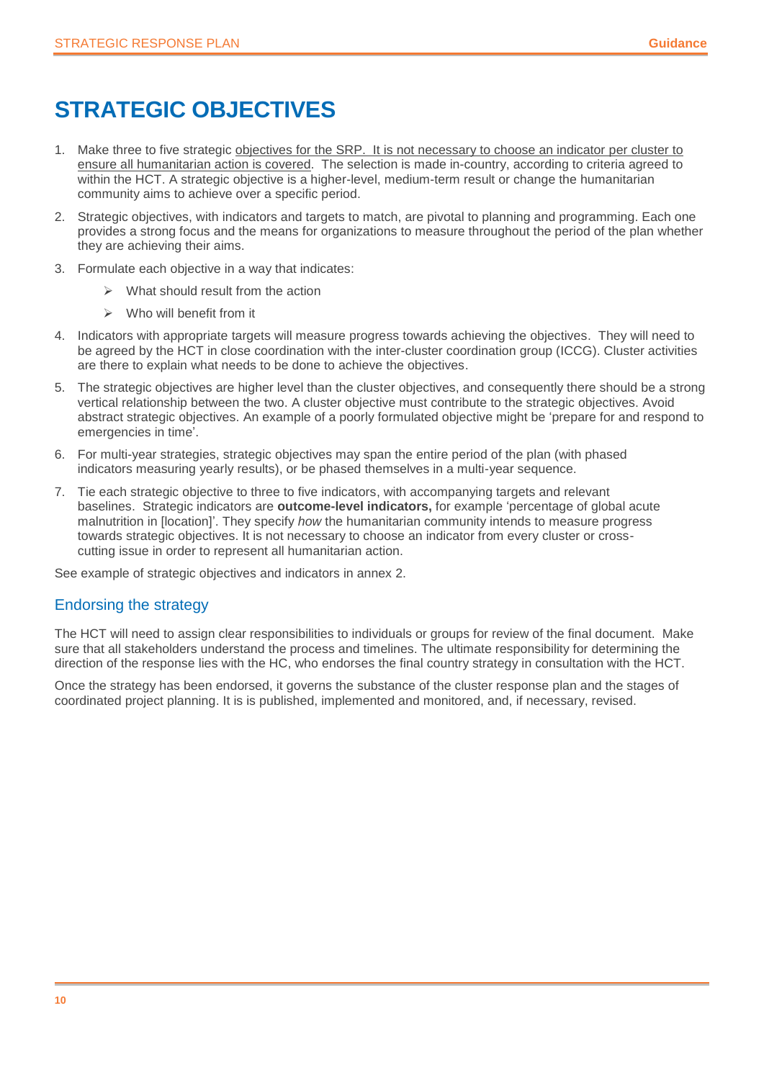### <span id="page-9-0"></span>**STRATEGIC OBJECTIVES**

- 1. Make three to five strategic objectives for the SRP. It is not necessary to choose an indicator per cluster to ensure all humanitarian action is covered. The selection is made in-country, according to criteria agreed to within the HCT. A strategic objective is a higher-level, medium-term result or change the humanitarian community aims to achieve over a specific period.
- 2. Strategic objectives, with indicators and targets to match, are pivotal to planning and programming. Each one provides a strong focus and the means for organizations to measure throughout the period of the plan whether they are achieving their aims.
- 3. Formulate each objective in a way that indicates:
	- $\triangleright$  What should result from the action
	- $\triangleright$  Who will benefit from it
- 4. Indicators with appropriate targets will measure progress towards achieving the objectives. They will need to be agreed by the HCT in close coordination with the inter-cluster coordination group (ICCG). Cluster activities are there to explain what needs to be done to achieve the objectives.
- 5. The strategic objectives are higher level than the cluster objectives, and consequently there should be a strong vertical relationship between the two. A cluster objective must contribute to the strategic objectives. Avoid abstract strategic objectives. An example of a poorly formulated objective might be 'prepare for and respond to emergencies in time'.
- 6. For multi-year strategies, strategic objectives may span the entire period of the plan (with phased indicators measuring yearly results), or be phased themselves in a multi-year sequence.
- 7. Tie each strategic objective to three to five indicators, with accompanying targets and relevant baselines. Strategic indicators are **outcome-level indicators,** for example 'percentage of global acute malnutrition in [location]'. They specify *how* the humanitarian community intends to measure progress towards strategic objectives. It is not necessary to choose an indicator from every cluster or crosscutting issue in order to represent all humanitarian action.

See example of strategic objectives and indicators in annex 2.

### Endorsing the strategy

The HCT will need to assign clear responsibilities to individuals or groups for review of the final document. Make sure that all stakeholders understand the process and timelines. The ultimate responsibility for determining the direction of the response lies with the HC, who endorses the final country strategy in consultation with the HCT.

Once the strategy has been endorsed, it governs the substance of the cluster response plan and the stages of coordinated project planning. It is is published, implemented and monitored, and, if necessary, revised.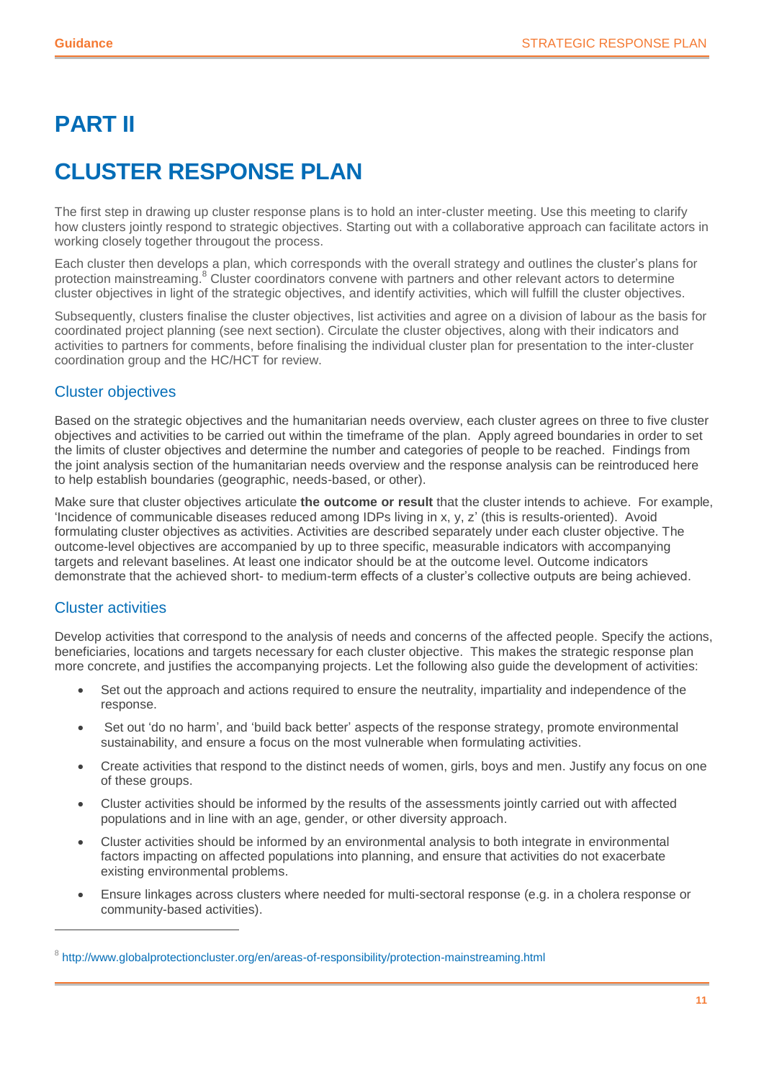### <span id="page-10-0"></span>**PART II**

### <span id="page-10-1"></span>**CLUSTER RESPONSE PLAN**

The first step in drawing up cluster response plans is to hold an inter-cluster meeting. Use this meeting to clarify how clusters jointly respond to strategic objectives. Starting out with a collaborative approach can facilitate actors in working closely together througout the process.

Each cluster then develops a plan, which corresponds with the overall strategy and outlines the cluster's plans for protection mainstreaming.<sup>8</sup> Cluster coordinators convene with partners and other relevant actors to determine cluster objectives in light of the strategic objectives, and identify activities, which will fulfill the cluster objectives.

Subsequently, clusters finalise the cluster objectives, list activities and agree on a division of labour as the basis for coordinated project planning (see next section). Circulate the cluster objectives, along with their indicators and activities to partners for comments, before finalising the individual cluster plan for presentation to the inter-cluster coordination group and the HC/HCT for review.

### Cluster objectives

Based on the strategic objectives and the humanitarian needs overview, each cluster agrees on three to five cluster objectives and activities to be carried out within the timeframe of the plan. Apply agreed boundaries in order to set the limits of cluster objectives and determine the number and categories of people to be reached. Findings from the joint analysis section of the humanitarian needs overview and the response analysis can be reintroduced here to help establish boundaries (geographic, needs-based, or other).

Make sure that cluster objectives articulate **the outcome or result** that the cluster intends to achieve. For example, 'Incidence of communicable diseases reduced among IDPs living in x, y, z' (this is results-oriented). Avoid formulating cluster objectives as activities. Activities are described separately under each cluster objective. The outcome-level objectives are accompanied by up to three specific, measurable indicators with accompanying targets and relevant baselines. At least one indicator should be at the outcome level. Outcome indicators demonstrate that the achieved short- to medium-term effects of a cluster's collective outputs are being achieved.

### Cluster activities

 $\overline{a}$ 

Develop activities that correspond to the analysis of needs and concerns of the affected people. Specify the actions, beneficiaries, locations and targets necessary for each cluster objective. This makes the strategic response plan more concrete, and justifies the accompanying projects. Let the following also guide the development of activities:

- Set out the approach and actions required to ensure the neutrality, impartiality and independence of the response.
- Set out 'do no harm', and 'build back better' aspects of the response strategy, promote environmental sustainability, and ensure a focus on the most vulnerable when formulating activities.
- Create activities that respond to the distinct needs of women, girls, boys and men. Justify any focus on one of these groups.
- Cluster activities should be informed by the results of the assessments jointly carried out with affected populations and in line with an age, gender, or other diversity approach.
- Cluster activities should be informed by an environmental analysis to both integrate in environmental factors impacting on affected populations into planning, and ensure that activities do not exacerbate existing environmental problems.
- Ensure linkages across clusters where needed for multi-sectoral response (e.g. in a cholera response or community-based activities).

<sup>&</sup>lt;sup>8</sup> http://www.globalprotectioncluster.org/en/areas-of-responsibility/protection-mainstreaming.html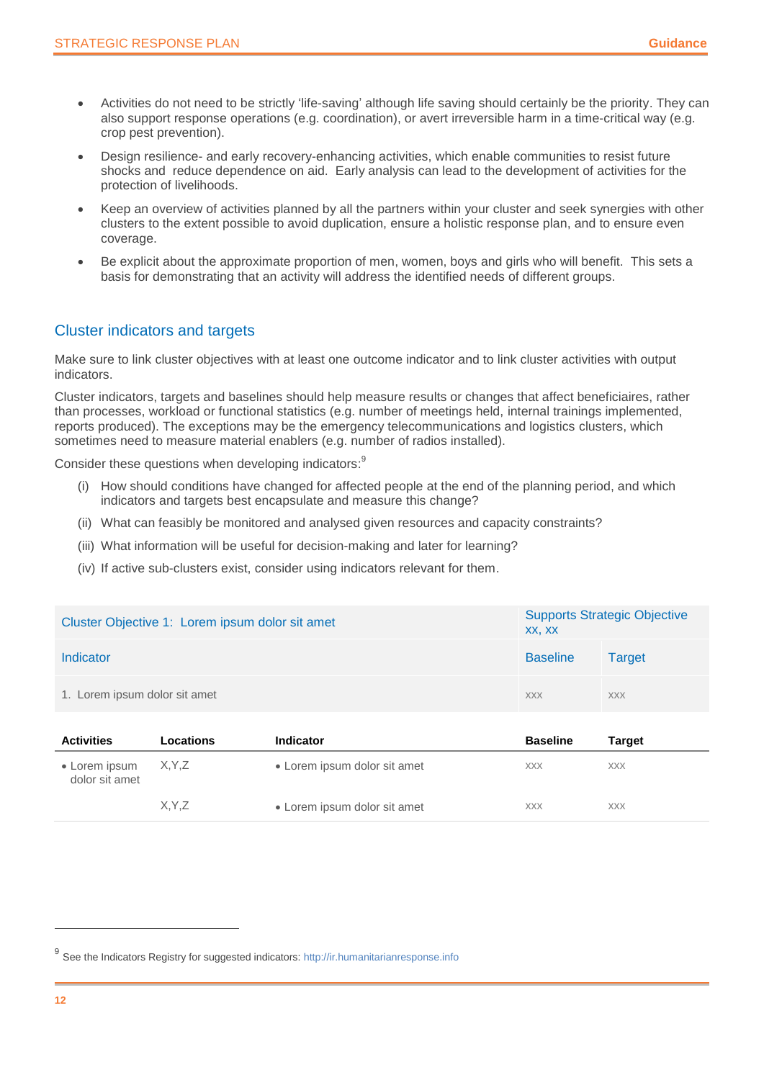- Activities do not need to be strictly 'life-saving' although life saving should certainly be the priority. They can also support response operations (e.g. coordination), or avert irreversible harm in a time-critical way (e.g. crop pest prevention).
- Design resilience- and early recovery-enhancing activities, which enable communities to resist future shocks and reduce dependence on aid. Early analysis can lead to the development of activities for the protection of livelihoods.
- Keep an overview of activities planned by all the partners within your cluster and seek synergies with other clusters to the extent possible to avoid duplication, ensure a holistic response plan, and to ensure even coverage.
- Be explicit about the approximate proportion of men, women, boys and girls who will benefit. This sets a basis for demonstrating that an activity will address the identified needs of different groups.

### Cluster indicators and targets

Make sure to link cluster objectives with at least one outcome indicator and to link cluster activities with output indicators.

Cluster indicators, targets and baselines should help measure results or changes that affect beneficiaires, rather than processes, workload or functional statistics (e.g. number of meetings held, internal trainings implemented, reports produced). The exceptions may be the emergency telecommunications and logistics clusters, which sometimes need to measure material enablers (e.g. number of radios installed).

Consider these questions when developing indicators:<sup>9</sup>

- (i) How should conditions have changed for affected people at the end of the planning period, and which indicators and targets best encapsulate and measure this change?
- (ii) What can feasibly be monitored and analysed given resources and capacity constraints?
- (iii) What information will be useful for decision-making and later for learning?
- (iv) If active sub-clusters exist, consider using indicators relevant for them.

| Cluster Objective 1: Lorem ipsum dolor sit amet | <b>Supports Strategic Objective</b><br>XX, XX |            |
|-------------------------------------------------|-----------------------------------------------|------------|
| Indicator                                       | <b>Baseline</b>                               | Target     |
| 1. Lorem ipsum dolor sit amet                   | <b>XXX</b>                                    | <b>XXX</b> |

| <b>Activities</b>               | Locations | <b>Indicator</b>             | <b>Baseline</b> | Target     |  |
|---------------------------------|-----------|------------------------------|-----------------|------------|--|
| • Lorem ipsum<br>dolor sit amet | X, Y, Z   | • Lorem ipsum dolor sit amet | <b>XXX</b>      | <b>XXX</b> |  |
|                                 | X.Y.Z     | • Lorem ipsum dolor sit amet | <b>XXX</b>      | <b>XXX</b> |  |

<sup>&</sup>lt;sup>9</sup> See the Indicators Registry for suggested indicators[: http://ir.humanitarianresponse.info](http://ir.humanitarianresponse.info/)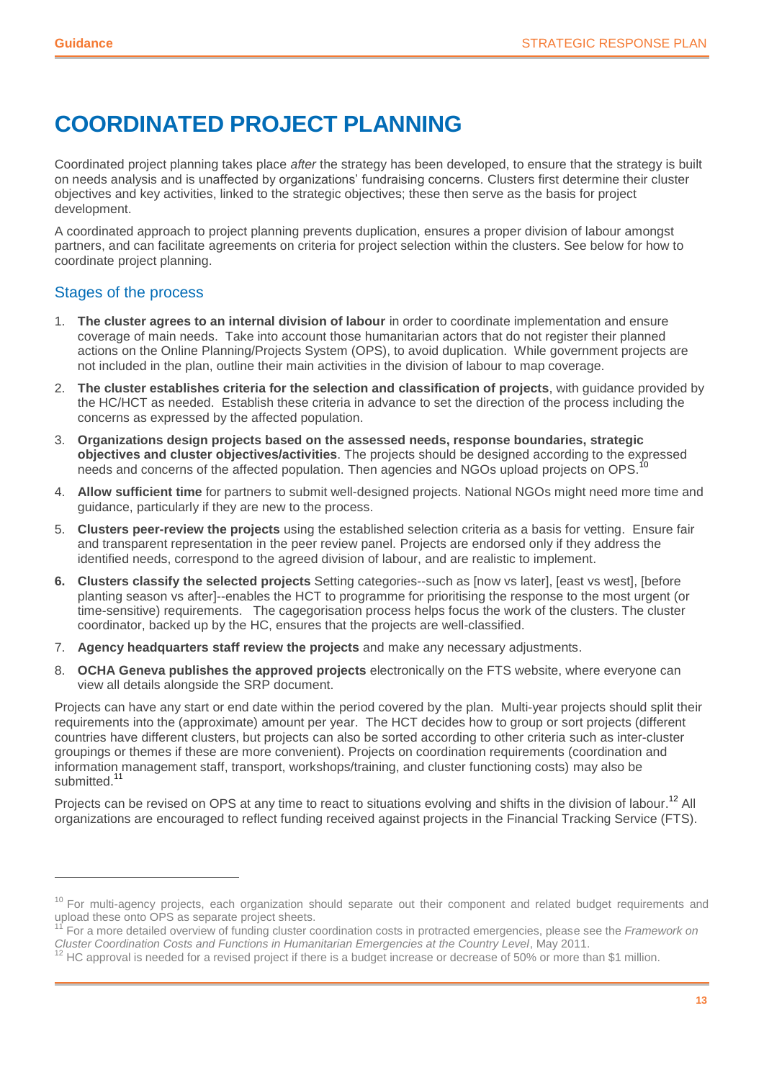### <span id="page-12-0"></span>**COORDINATED PROJECT PLANNING**

Coordinated project planning takes place *after* the strategy has been developed, to ensure that the strategy is built on needs analysis and is unaffected by organizations' fundraising concerns. Clusters first determine their cluster objectives and key activities, linked to the strategic objectives; these then serve as the basis for project development.

A coordinated approach to project planning prevents duplication, ensures a proper division of labour amongst partners, and can facilitate agreements on criteria for project selection within the clusters. See below for how to coordinate project planning.

#### Stages of the process

 $\overline{a}$ 

- 1. **The cluster agrees to an internal division of labour** in order to coordinate implementation and ensure coverage of main needs. Take into account those humanitarian actors that do not register their planned actions on the Online Planning/Projects System (OPS), to avoid duplication. While government projects are not included in the plan, outline their main activities in the division of labour to map coverage.
- 2. **The cluster establishes criteria for the selection and classification of projects**, with guidance provided by the HC/HCT as needed. Establish these criteria in advance to set the direction of the process including the concerns as expressed by the affected population.
- 3. **Organizations design projects based on the assessed needs, response boundaries, strategic objectives and cluster objectives/activities**. The projects should be designed according to the expressed needs and concerns of the affected population. Then agencies and NGOs upload projects on OPS.<sup>10</sup>
- 4. **Allow sufficient time** for partners to submit well-designed projects. National NGOs might need more time and guidance, particularly if they are new to the process.
- 5. **Clusters peer-review the projects** using the established selection criteria as a basis for vetting. Ensure fair and transparent representation in the peer review panel. Projects are endorsed only if they address the identified needs, correspond to the agreed division of labour, and are realistic to implement.
- **6. Clusters classify the selected projects** Setting categories--such as [now vs later], [east vs west], [before planting season vs after]--enables the HCT to programme for prioritising the response to the most urgent (or time-sensitive) requirements. The cagegorisation process helps focus the work of the clusters. The cluster coordinator, backed up by the HC, ensures that the projects are well-classified.
- 7. **Agency headquarters staff review the projects** and make any necessary adjustments.
- 8. **OCHA Geneva publishes the approved projects** electronically on the FTS website, where everyone can view all details alongside the SRP document.

Projects can have any start or end date within the period covered by the plan. Multi-year projects should split their requirements into the (approximate) amount per year. The HCT decides how to group or sort projects (different countries have different clusters, but projects can also be sorted according to other criteria such as inter-cluster groupings or themes if these are more convenient). Projects on coordination requirements (coordination and information management staff, transport, workshops/training, and cluster functioning costs) may also be submitted.<sup>11</sup>

Projects can be revised on OPS at any time to react to situations evolving and shifts in the division of labour.<sup>12</sup> All organizations are encouraged to reflect funding received against projects in the Financial Tracking Service (FTS).

<sup>&</sup>lt;sup>10</sup> For multi-agency projects, each organization should separate out their component and related budget requirements and upload these onto OPS as separate project sheets.

<sup>11</sup> For a more detailed overview of funding cluster coordination costs in protracted emergencies, please see the *Framework on Cluster Coordination Costs and Functions in Humanitarian Emergencies at the Country Level*, May 2011.

<sup>&</sup>lt;sup>12</sup> HC approval is needed for a revised project if there is a budget increase or decrease of 50% or more than \$1 million.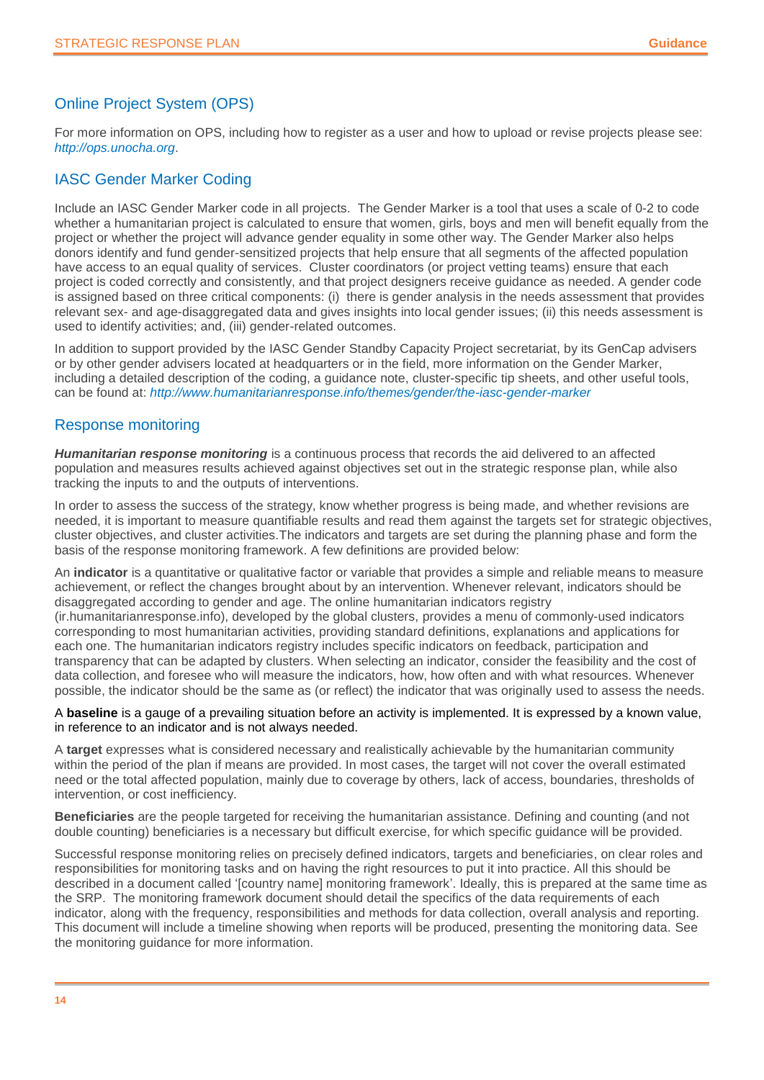### Online Project System (OPS)

For more information on OPS, including how to register as a user and how to upload or revise projects please see: *http://ops.unocha.org*.

### IASC Gender Marker Coding

Include an IASC Gender Marker code in all projects. The Gender Marker is a tool that uses a scale of 0-2 to code whether a humanitarian project is calculated to ensure that women, girls, boys and men will benefit equally from the project or whether the project will advance gender equality in some other way. The Gender Marker also helps donors identify and fund gender-sensitized projects that help ensure that all segments of the affected population have access to an equal quality of services. Cluster coordinators (or project vetting teams) ensure that each project is coded correctly and consistently, and that project designers receive guidance as needed. A gender code is assigned based on three critical components: (i) there is gender analysis in the needs assessment that provides relevant sex- and age-disaggregated data and gives insights into local gender issues; (ii) this needs assessment is used to identify activities; and, (iii) gender-related outcomes.

In addition to support provided by the IASC Gender Standby Capacity Project secretariat, by its GenCap advisers or by other gender advisers located at headquarters or in the field, more information on the Gender Marker, including a detailed description of the coding, a guidance note, cluster-specific tip sheets, and other useful tools, can be found at: *http://www.humanitarianresponse.info/themes/gender/the-iasc-gender-marker*

### Response monitoring

*Humanitarian response monitoring* is a continuous process that records the aid delivered to an affected population and measures results achieved against objectives set out in the strategic response plan, while also tracking the inputs to and the outputs of interventions.

In order to assess the success of the strategy, know whether progress is being made, and whether revisions are needed, it is important to measure quantifiable results and read them against the targets set for strategic objectives, cluster objectives, and cluster activities.The indicators and targets are set during the planning phase and form the basis of the response monitoring framework. A few definitions are provided below:

An **indicator** is a quantitative or qualitative factor or variable that provides a simple and reliable means to measure achievement, or reflect the changes brought about by an intervention. Whenever relevant, indicators should be disaggregated according to gender and age. The online humanitarian indicators registry (ir.humanitarianresponse.info), developed by the global clusters, provides a menu of commonly-used indicators corresponding to most humanitarian activities, providing standard definitions, explanations and applications for each one. The humanitarian indicators registry includes specific indicators on feedback, participation and transparency that can be adapted by clusters. When selecting an indicator, consider the feasibility and the cost of data collection, and foresee who will measure the indicators, how, how often and with what resources. Whenever possible, the indicator should be the same as (or reflect) the indicator that was originally used to assess the needs.

A **baseline** is a gauge of a prevailing situation before an activity is implemented. It is expressed by a known value, in reference to an indicator and is not always needed.

A **target** expresses what is considered necessary and realistically achievable by the humanitarian community within the period of the plan if means are provided. In most cases, the target will not cover the overall estimated need or the total affected population, mainly due to coverage by others, lack of access, boundaries, thresholds of intervention, or cost inefficiency.

**Beneficiaries** are the people targeted for receiving the humanitarian assistance. Defining and counting (and not double counting) beneficiaries is a necessary but difficult exercise, for which specific guidance will be provided.

Successful response monitoring relies on precisely defined indicators, targets and beneficiaries, on clear roles and responsibilities for monitoring tasks and on having the right resources to put it into practice. All this should be described in a document called '[country name] monitoring framework'. Ideally, this is prepared at the same time as the SRP. The monitoring framework document should detail the specifics of the data requirements of each indicator, along with the frequency, responsibilities and methods for data collection, overall analysis and reporting. This document will include a timeline showing when reports will be produced, presenting the monitoring data. See the monitoring guidance for more information.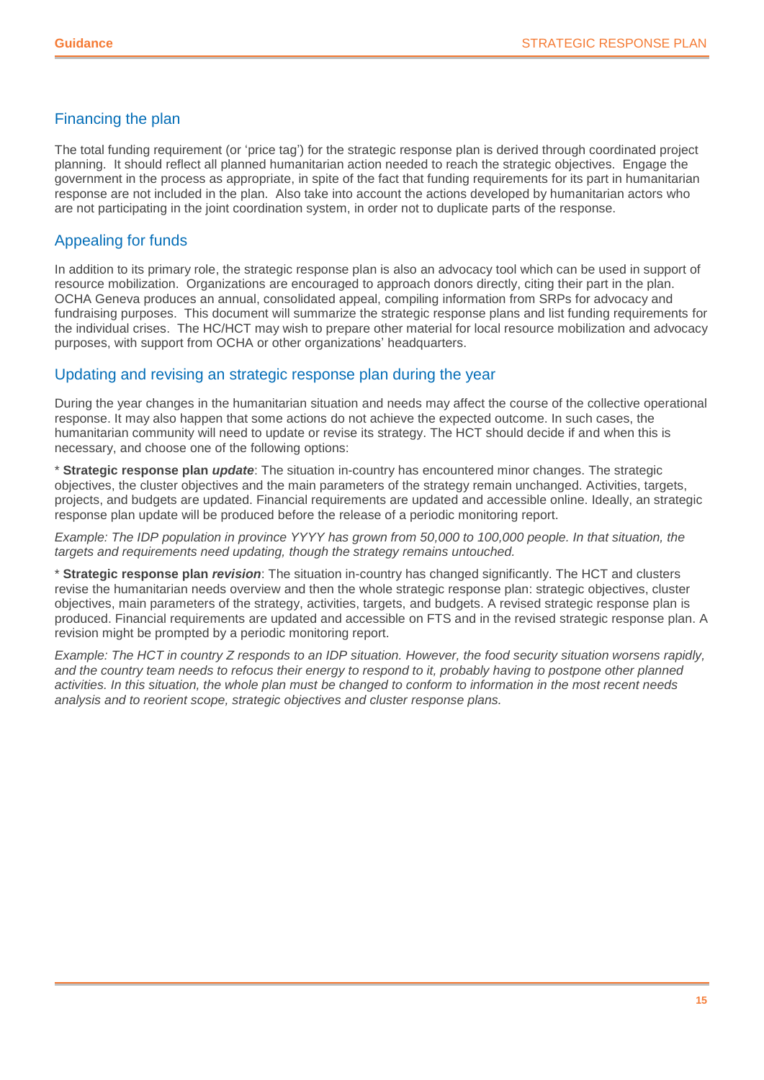#### Financing the plan

The total funding requirement (or 'price tag') for the strategic response plan is derived through coordinated project planning. It should reflect all planned humanitarian action needed to reach the strategic objectives. Engage the government in the process as appropriate, in spite of the fact that funding requirements for its part in humanitarian response are not included in the plan. Also take into account the actions developed by humanitarian actors who are not participating in the joint coordination system, in order not to duplicate parts of the response.

### Appealing for funds

In addition to its primary role, the strategic response plan is also an advocacy tool which can be used in support of resource mobilization. Organizations are encouraged to approach donors directly, citing their part in the plan. OCHA Geneva produces an annual, consolidated appeal, compiling information from SRPs for advocacy and fundraising purposes. This document will summarize the strategic response plans and list funding requirements for the individual crises. The HC/HCT may wish to prepare other material for local resource mobilization and advocacy purposes, with support from OCHA or other organizations' headquarters.

### Updating and revising an strategic response plan during the year

During the year changes in the humanitarian situation and needs may affect the course of the collective operational response. It may also happen that some actions do not achieve the expected outcome. In such cases, the humanitarian community will need to update or revise its strategy. The HCT should decide if and when this is necessary, and choose one of the following options:

\* **Strategic response plan** *update*: The situation in-country has encountered minor changes. The strategic objectives, the cluster objectives and the main parameters of the strategy remain unchanged. Activities, targets, projects, and budgets are updated. Financial requirements are updated and accessible online. Ideally, an strategic response plan update will be produced before the release of a periodic monitoring report.

*Example: The IDP population in province YYYY has grown from 50,000 to 100,000 people. In that situation, the targets and requirements need updating, though the strategy remains untouched.*

\* **Strategic response plan** *revision*: The situation in-country has changed significantly. The HCT and clusters revise the humanitarian needs overview and then the whole strategic response plan: strategic objectives, cluster objectives, main parameters of the strategy, activities, targets, and budgets. A revised strategic response plan is produced. Financial requirements are updated and accessible on FTS and in the revised strategic response plan. A revision might be prompted by a periodic monitoring report.

*Example: The HCT in country Z responds to an IDP situation. However, the food security situation worsens rapidly,*  and the country team needs to refocus their energy to respond to it, probably having to postpone other planned *activities. In this situation, the whole plan must be changed to conform to information in the most recent needs analysis and to reorient scope, strategic objectives and cluster response plans.*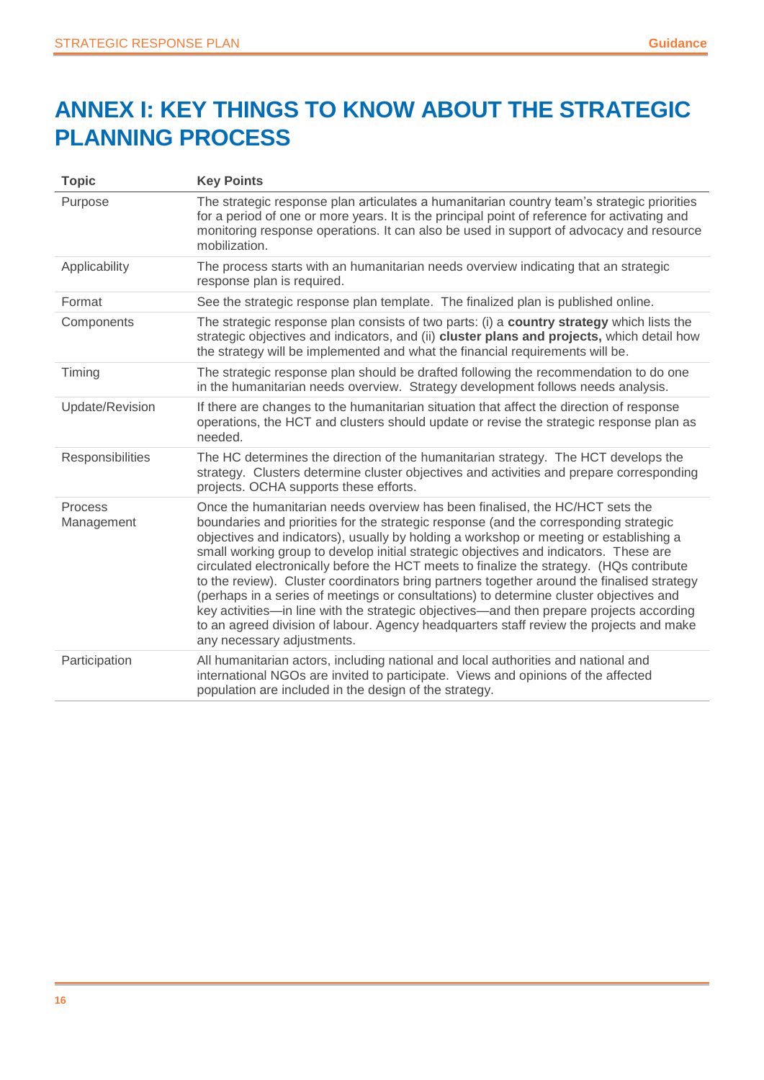### <span id="page-15-0"></span>**ANNEX I: KEY THINGS TO KNOW ABOUT THE STRATEGIC PLANNING PROCESS**

| <b>Topic</b>          | <b>Key Points</b>                                                                                                                                                                                                                                                                                                                                                                                                                                                                                                                                                                                                                                                                                                                                                                                                                                                 |
|-----------------------|-------------------------------------------------------------------------------------------------------------------------------------------------------------------------------------------------------------------------------------------------------------------------------------------------------------------------------------------------------------------------------------------------------------------------------------------------------------------------------------------------------------------------------------------------------------------------------------------------------------------------------------------------------------------------------------------------------------------------------------------------------------------------------------------------------------------------------------------------------------------|
| Purpose               | The strategic response plan articulates a humanitarian country team's strategic priorities<br>for a period of one or more years. It is the principal point of reference for activating and<br>monitoring response operations. It can also be used in support of advocacy and resource<br>mobilization.                                                                                                                                                                                                                                                                                                                                                                                                                                                                                                                                                            |
| Applicability         | The process starts with an humanitarian needs overview indicating that an strategic<br>response plan is required.                                                                                                                                                                                                                                                                                                                                                                                                                                                                                                                                                                                                                                                                                                                                                 |
| Format                | See the strategic response plan template. The finalized plan is published online.                                                                                                                                                                                                                                                                                                                                                                                                                                                                                                                                                                                                                                                                                                                                                                                 |
| Components            | The strategic response plan consists of two parts: (i) a country strategy which lists the<br>strategic objectives and indicators, and (ii) cluster plans and projects, which detail how<br>the strategy will be implemented and what the financial requirements will be.                                                                                                                                                                                                                                                                                                                                                                                                                                                                                                                                                                                          |
| Timing                | The strategic response plan should be drafted following the recommendation to do one<br>in the humanitarian needs overview. Strategy development follows needs analysis.                                                                                                                                                                                                                                                                                                                                                                                                                                                                                                                                                                                                                                                                                          |
| Update/Revision       | If there are changes to the humanitarian situation that affect the direction of response<br>operations, the HCT and clusters should update or revise the strategic response plan as<br>needed.                                                                                                                                                                                                                                                                                                                                                                                                                                                                                                                                                                                                                                                                    |
| Responsibilities      | The HC determines the direction of the humanitarian strategy. The HCT develops the<br>strategy. Clusters determine cluster objectives and activities and prepare corresponding<br>projects. OCHA supports these efforts.                                                                                                                                                                                                                                                                                                                                                                                                                                                                                                                                                                                                                                          |
| Process<br>Management | Once the humanitarian needs overview has been finalised, the HC/HCT sets the<br>boundaries and priorities for the strategic response (and the corresponding strategic<br>objectives and indicators), usually by holding a workshop or meeting or establishing a<br>small working group to develop initial strategic objectives and indicators. These are<br>circulated electronically before the HCT meets to finalize the strategy. (HQs contribute<br>to the review). Cluster coordinators bring partners together around the finalised strategy<br>(perhaps in a series of meetings or consultations) to determine cluster objectives and<br>key activities—in line with the strategic objectives—and then prepare projects according<br>to an agreed division of labour. Agency headquarters staff review the projects and make<br>any necessary adjustments. |
| Participation         | All humanitarian actors, including national and local authorities and national and<br>international NGOs are invited to participate. Views and opinions of the affected<br>population are included in the design of the strategy.                                                                                                                                                                                                                                                                                                                                                                                                                                                                                                                                                                                                                                 |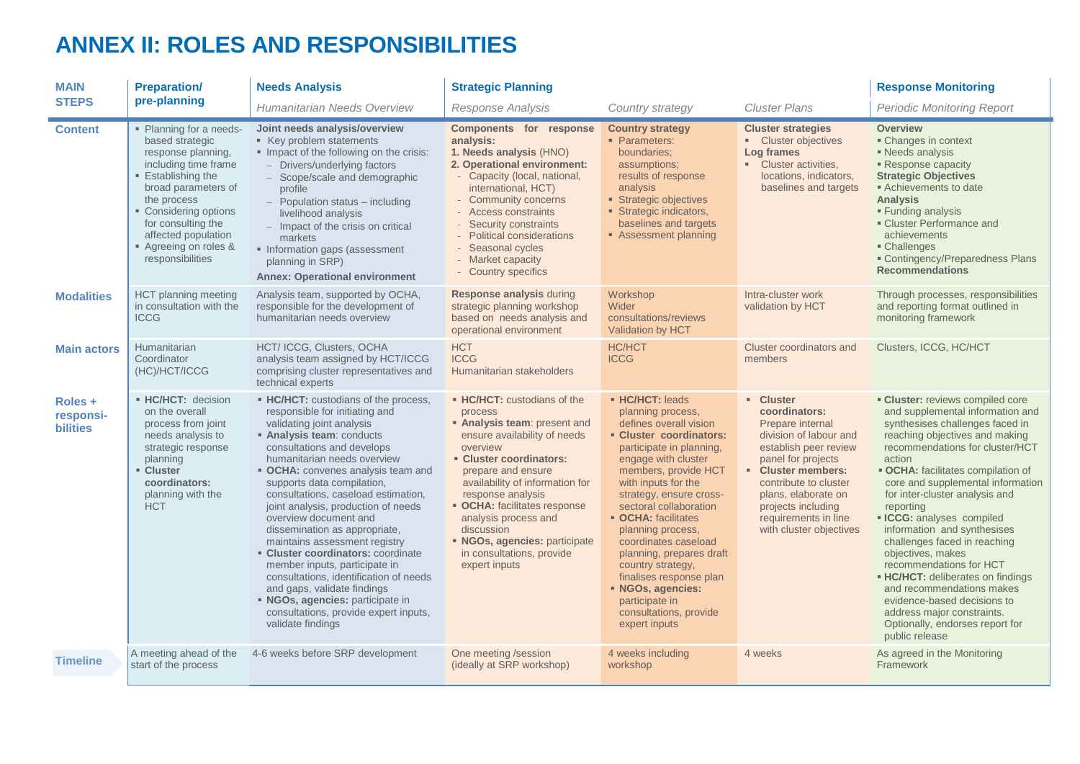### **ANNEX II: ROLES AND RESPONSIBILITIES**

<span id="page-16-0"></span>

| <b>MAIN</b>                             | <b>Preparation/</b>                                                                                                                                                                                                                                                        | <b>Needs Analysis</b>                                                                                                                                                                                                                                                                                                                                                                                                                                                                                                                                                                                                                                                                             | <b>Strategic Planning</b>                                                                                                                                                                                                                                                                                                                                                        |                                                                                                                                                                                                                                                                                                                                                                                                                                                                                    |                                                                                                                                                                                                                                                                               | <b>Response Monitoring</b>                                                                                                                                                                                                                                                                                                                                                                                                                                                                                                                                                                                                                                       |
|-----------------------------------------|----------------------------------------------------------------------------------------------------------------------------------------------------------------------------------------------------------------------------------------------------------------------------|---------------------------------------------------------------------------------------------------------------------------------------------------------------------------------------------------------------------------------------------------------------------------------------------------------------------------------------------------------------------------------------------------------------------------------------------------------------------------------------------------------------------------------------------------------------------------------------------------------------------------------------------------------------------------------------------------|----------------------------------------------------------------------------------------------------------------------------------------------------------------------------------------------------------------------------------------------------------------------------------------------------------------------------------------------------------------------------------|------------------------------------------------------------------------------------------------------------------------------------------------------------------------------------------------------------------------------------------------------------------------------------------------------------------------------------------------------------------------------------------------------------------------------------------------------------------------------------|-------------------------------------------------------------------------------------------------------------------------------------------------------------------------------------------------------------------------------------------------------------------------------|------------------------------------------------------------------------------------------------------------------------------------------------------------------------------------------------------------------------------------------------------------------------------------------------------------------------------------------------------------------------------------------------------------------------------------------------------------------------------------------------------------------------------------------------------------------------------------------------------------------------------------------------------------------|
| <b>STEPS</b>                            | pre-planning<br>Humanitarian Needs Overview<br><b>Cluster Plans</b><br><b>Response Analysis</b><br>Country strategy                                                                                                                                                        |                                                                                                                                                                                                                                                                                                                                                                                                                                                                                                                                                                                                                                                                                                   |                                                                                                                                                                                                                                                                                                                                                                                  | <b>Periodic Monitoring Report</b>                                                                                                                                                                                                                                                                                                                                                                                                                                                  |                                                                                                                                                                                                                                                                               |                                                                                                                                                                                                                                                                                                                                                                                                                                                                                                                                                                                                                                                                  |
| <b>Content</b>                          | • Planning for a needs-<br>based strategic<br>response planning,<br>including time frame<br><b>Establishing the</b><br>broad parameters of<br>the process<br>• Considering options<br>for consulting the<br>affected population<br>Agreeing on roles &<br>responsibilities | Joint needs analysis/overview<br>■ Key problem statements<br>Impact of the following on the crisis:<br>- Drivers/underlying factors<br>- Scope/scale and demographic<br>profile<br>$-$ Population status $-$ including<br>livelihood analysis<br>- Impact of the crisis on critical<br>markets<br>• Information gaps (assessment<br>planning in SRP)<br><b>Annex: Operational environment</b>                                                                                                                                                                                                                                                                                                     | Components for response<br>analysis:<br>1. Needs analysis (HNO)<br>2. Operational environment:<br>- Capacity (local, national,<br>international, HCT)<br>- Community concerns<br>- Access constraints<br>Security constraints<br><b>Political considerations</b><br>- Seasonal cycles<br>- Market capacity<br>- Country specifics                                                | <b>Country strategy</b><br>• Parameters:<br>boundaries;<br>assumptions;<br>results of response<br>analysis<br>Strategic objectives<br>Strategic indicators,<br>baselines and targets<br>Assessment planning                                                                                                                                                                                                                                                                        | <b>Cluster strategies</b><br>• Cluster objectives<br>Log frames<br>• Cluster activities,<br>locations, indicators,<br>baselines and targets                                                                                                                                   | <b>Overview</b><br>• Changes in context<br>Needs analysis<br>Response capacity<br><b>Strategic Objectives</b><br>Achievements to date<br><b>Analysis</b><br>■ Funding analysis<br>• Cluster Performance and<br>achievements<br>• Challenges<br><b>Example 20 Contingency/Preparedness Plans</b><br><b>Recommendations</b>                                                                                                                                                                                                                                                                                                                                        |
| <b>Modalities</b>                       | <b>HCT</b> planning meeting<br>in consultation with the<br><b>ICCG</b>                                                                                                                                                                                                     | Analysis team, supported by OCHA,<br>responsible for the development of<br>humanitarian needs overview                                                                                                                                                                                                                                                                                                                                                                                                                                                                                                                                                                                            | <b>Response analysis during</b><br>strategic planning workshop<br>based on needs analysis and<br>operational environment                                                                                                                                                                                                                                                         | Workshop<br>Wider<br>consultations/reviews<br>Validation by HCT                                                                                                                                                                                                                                                                                                                                                                                                                    | Intra-cluster work<br>validation by HCT                                                                                                                                                                                                                                       | Through processes, responsibilities<br>and reporting format outlined in<br>monitoring framework                                                                                                                                                                                                                                                                                                                                                                                                                                                                                                                                                                  |
| <b>Main actors</b>                      | Humanitarian<br>Coordinator<br>(HC)/HCT/ICCG                                                                                                                                                                                                                               | HCT/ ICCG, Clusters, OCHA<br>analysis team assigned by HCT/ICCG<br>comprising cluster representatives and<br>technical experts                                                                                                                                                                                                                                                                                                                                                                                                                                                                                                                                                                    | <b>HCT</b><br><b>ICCG</b><br>Humanitarian stakeholders                                                                                                                                                                                                                                                                                                                           | <b>HC/HCT</b><br><b>ICCG</b>                                                                                                                                                                                                                                                                                                                                                                                                                                                       | Cluster coordinators and<br>members                                                                                                                                                                                                                                           | Clusters, ICCG, HC/HCT                                                                                                                                                                                                                                                                                                                                                                                                                                                                                                                                                                                                                                           |
| Roles +<br>responsi-<br><b>bilities</b> | • HC/HCT: decision<br>on the overall<br>process from joint<br>needs analysis to<br>strategic response<br>planning<br>Cluster<br>coordinators:<br>planning with the<br><b>HCT</b>                                                                                           | • HC/HCT: custodians of the process,<br>responsible for initiating and<br>validating joint analysis<br>Analysis team: conducts<br>consultations and develops<br>humanitarian needs overview<br>• OCHA: convenes analysis team and<br>supports data compilation,<br>consultations, caseload estimation,<br>joint analysis, production of needs<br>overview document and<br>dissemination as appropriate,<br>maintains assessment registry<br><b>- Cluster coordinators: coordinate</b><br>member inputs, participate in<br>consultations, identification of needs<br>and gaps, validate findings<br>• NGOs, agencies: participate in<br>consultations, provide expert inputs,<br>validate findings | • HC/HCT: custodians of the<br>process<br>• Analysis team: present and<br>ensure availability of needs<br>overview<br>• Cluster coordinators:<br>prepare and ensure<br>availability of information for<br>response analysis<br>· OCHA: facilitates response<br>analysis process and<br>discussion<br>• NGOs, agencies: participate<br>in consultations, provide<br>expert inputs | • HC/HCT: leads<br>planning process,<br>defines overall vision<br>• Cluster coordinators:<br>participate in planning,<br>engage with cluster<br>members, provide HCT<br>with inputs for the<br>strategy, ensure cross-<br>sectoral collaboration<br>• OCHA: facilitates<br>planning process,<br>coordinates caseload<br>planning, prepares draft<br>country strategy,<br>finalises response plan<br>• NGOs, agencies:<br>participate in<br>consultations, provide<br>expert inputs | <b>E</b> Cluster<br>coordinators:<br>Prepare internal<br>division of labour and<br>establish peer review<br>panel for projects<br>• Cluster members:<br>contribute to cluster<br>plans, elaborate on<br>projects including<br>requirements in line<br>with cluster objectives | <b>Cluster:</b> reviews compiled core<br>and supplemental information and<br>synthesises challenges faced in<br>reaching objectives and making<br>recommendations for cluster/HCT<br>action<br>· OCHA: facilitates compilation of<br>core and supplemental information<br>for inter-cluster analysis and<br>reporting<br><b>ECG:</b> analyses compiled<br>information and synthesises<br>challenges faced in reaching<br>objectives, makes<br>recommendations for HCT<br><b>- HC/HCT:</b> deliberates on findings<br>and recommendations makes<br>evidence-based decisions to<br>address major constraints.<br>Optionally, endorses report for<br>public release |
| <b>Timeline</b>                         | A meeting ahead of the<br>start of the process                                                                                                                                                                                                                             | 4-6 weeks before SRP development                                                                                                                                                                                                                                                                                                                                                                                                                                                                                                                                                                                                                                                                  | One meeting /session<br>(ideally at SRP workshop)                                                                                                                                                                                                                                                                                                                                | 4 weeks including<br>workshop                                                                                                                                                                                                                                                                                                                                                                                                                                                      | 4 weeks                                                                                                                                                                                                                                                                       | As agreed in the Monitoring<br>Framework                                                                                                                                                                                                                                                                                                                                                                                                                                                                                                                                                                                                                         |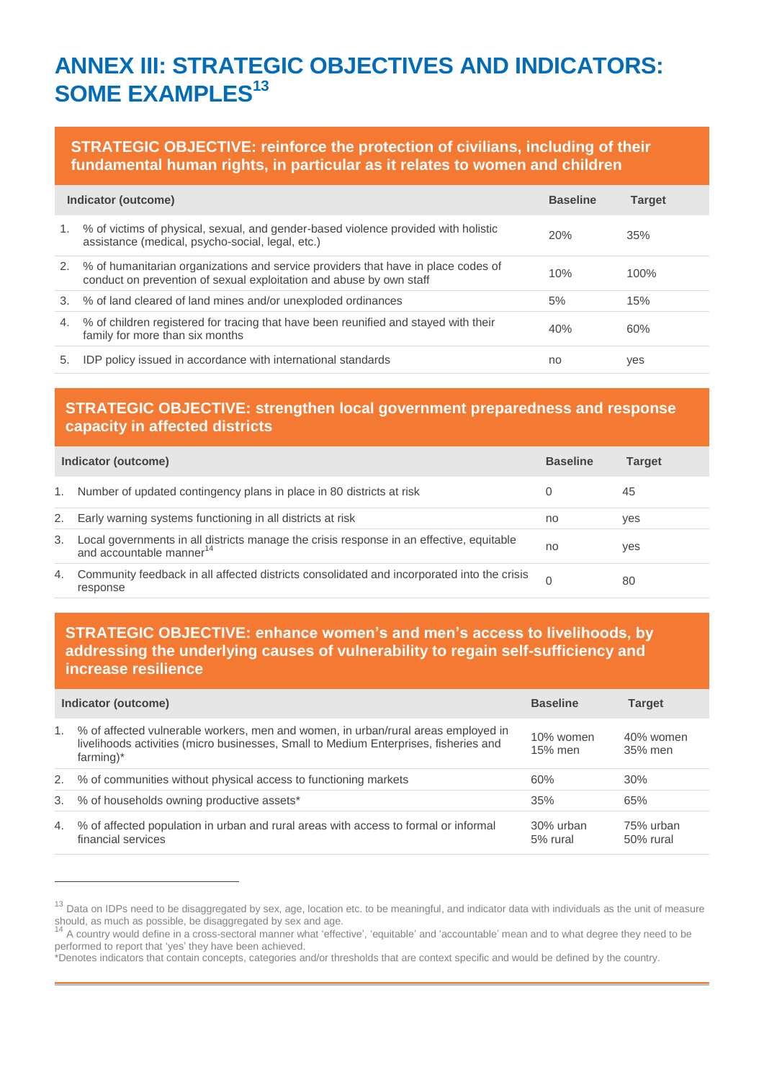### <span id="page-17-0"></span>**ANNEX III: STRATEGIC OBJECTIVES AND INDICATORS: SOME EXAMPLES<sup>13</sup>**

### **STRATEGIC OBJECTIVE: reinforce the protection of civilians, including of their fundamental human rights, in particular as it relates to women and children**

|    | Indicator (outcome)                                                                                                                                      | <b>Baseline</b> | <b>Target</b> |
|----|----------------------------------------------------------------------------------------------------------------------------------------------------------|-----------------|---------------|
| 1. | % of victims of physical, sexual, and gender-based violence provided with holistic<br>assistance (medical, psycho-social, legal, etc.)                   | 20%             | 35%           |
| 2. | % of humanitarian organizations and service providers that have in place codes of<br>conduct on prevention of sexual exploitation and abuse by own staff | 10%             | 100%          |
| 3. | % of land cleared of land mines and/or unexploded ordinances                                                                                             | 5%              | 15%           |
|    | 4. % of children registered for tracing that have been reunified and stayed with their<br>family for more than six months                                | 40%             | 60%           |
| 5. | IDP policy issued in accordance with international standards                                                                                             | no              | yes           |

### **STRATEGIC OBJECTIVE: strengthen local government preparedness and response capacity in affected districts**

| Indicator (outcome) |                                                                                                                               |    | Target |
|---------------------|-------------------------------------------------------------------------------------------------------------------------------|----|--------|
| 1.                  | Number of updated contingency plans in place in 80 districts at risk                                                          |    | 45     |
| 2.                  | Early warning systems functioning in all districts at risk                                                                    | no | ves    |
| 3.                  | Local governments in all districts manage the crisis response in an effective, equitable and accountable manner <sup>14</sup> | no | ves    |
| 4.                  | Community feedback in all affected districts consolidated and incorporated into the crisis<br>response                        |    | 80     |

### **STRATEGIC OBJECTIVE: enhance women's and men's access to livelihoods, by addressing the underlying causes of vulnerability to regain self-sufficiency and increase resilience**

|    | Indicator (outcome)                                                                                                                                                                       | <b>Baseline</b>       | <b>Target</b>          |
|----|-------------------------------------------------------------------------------------------------------------------------------------------------------------------------------------------|-----------------------|------------------------|
| 1. | % of affected vulnerable workers, men and women, in urban/rural areas employed in<br>livelihoods activities (micro businesses, Small to Medium Enterprises, fisheries and<br>$farming)$ * | 10% women<br>15% men  | 40% women<br>35% men   |
| 2. | % of communities without physical access to functioning markets                                                                                                                           | 60%                   | 30%                    |
| 3. | % of households owning productive assets*                                                                                                                                                 | 35%                   | 65%                    |
| 4. | % of affected population in urban and rural areas with access to formal or informal<br>financial services                                                                                 | 30% urban<br>5% rural | 75% urban<br>50% rural |

<sup>&</sup>lt;sup>13</sup> Data on IDPs need to be disaggregated by sex, age, location etc. to be meaningful, and indicator data with individuals as the unit of measure should, as much as possible, be disaggregated by sex and age.<br><sup>14</sup> A country would define in a cross-sectoral manner what 'effective', 'equitable' and 'accountable' mean and to what degree they need to be

performed to report that 'yes' they have been achieved.

<sup>\*</sup>Denotes indicators that contain concepts, categories and/or thresholds that are context specific and would be defined by the country.